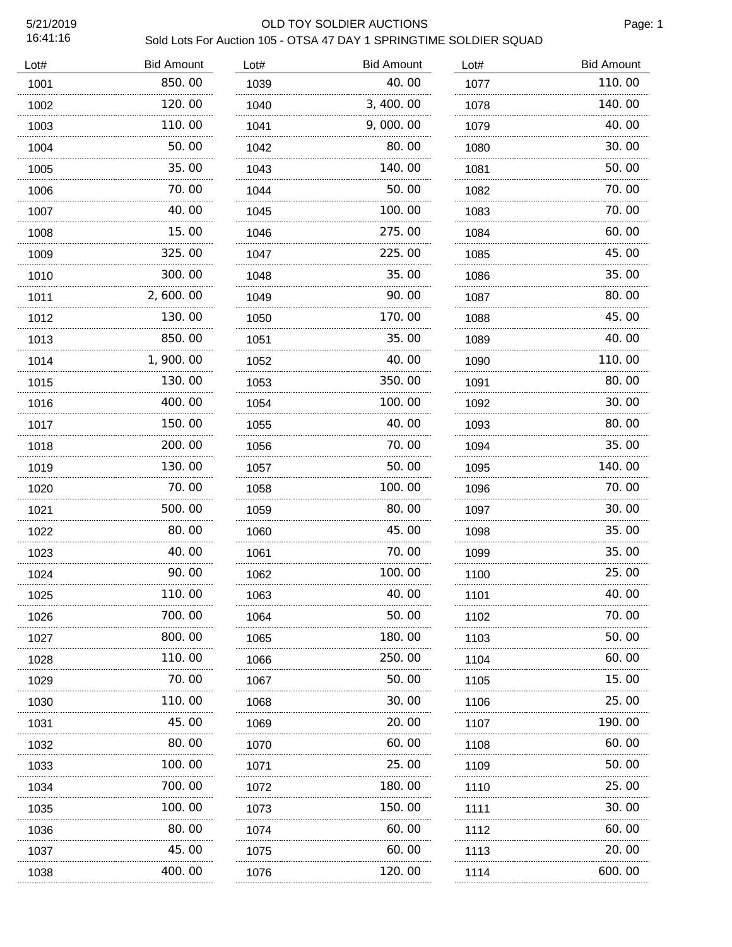#### 5/21/2019 OLD TOY SOLDIER AUCTIONS

Page: 1

| Lot# | <b>Bid Amount</b> | Lot# | <b>Bid Amount</b> | Lot# | <b>Bid Amount</b> |
|------|-------------------|------|-------------------|------|-------------------|
| 1001 | 850.00            | 1039 | 40.00             | 1077 | 110.00            |
| 1002 | 120.00            | 1040 | 3, 400.00         | 1078 | 140.00            |
| 1003 | 110.00            | 1041 | 9,000.00          | 1079 | 40.00             |
| 1004 | 50.00             | 1042 | 80.00             | 1080 | 30.00             |
| 1005 | 35.00             | 1043 | 140.00            | 1081 | 50.00             |
| 1006 | 70.00             | 1044 | 50.00             | 1082 | 70.00             |
| 1007 | 40.00             | 1045 | 100.00            | 1083 | 70.00             |
| 1008 | 15.00             | 1046 | 275.00            | 1084 | 60.00             |
| 1009 | 325.00            | 1047 | 225.00            | 1085 | 45.00             |
| 1010 | 300.00            | 1048 | 35.00             | 1086 | 35.00             |
| 1011 | 2,600.00          | 1049 | 90.00             | 1087 | 80.00             |
| 1012 | 130.00            | 1050 | 170.00            | 1088 | 45.00             |
| 1013 | 850.00            | 1051 | 35.00             | 1089 | 40.00             |
| 1014 | 1,900.00<br>.     | 1052 | 40.00             | 1090 | 110.00            |
| 1015 | 130.00            | 1053 | 350.00            | 1091 | 80.00             |
| 1016 | 400.00            | 1054 | 100.00            | 1092 | 30.00             |
| 1017 | 150.00            | 1055 | 40.00             | 1093 | 80.00             |
| 1018 | 200.00<br>.       | 1056 | 70.00<br>.        | 1094 | 35.00             |
| 1019 | 130.00            | 1057 | 50.00             | 1095 | 140.00            |
| 1020 | 70.00<br>.        | 1058 | 100.00            | 1096 | 70.00             |
| 1021 | 500, 00           | 1059 | 80.00             | 1097 | 30.00             |
| 1022 | 80.00             | 1060 | 45.00             | 1098 | 35.00             |
| 1023 | 40.00             | 1061 | 70.00             | 1099 | 35.00             |
| 1024 | 90.00<br>.        | 1062 | 100.00<br>.       | 1100 | 25.00             |
| 1025 | 110.00            | 1063 | 40.00             | 1101 | 40.00             |
| 1026 | 700.00            | 1064 | 50.00             | 1102 | 70.00             |
| 1027 | 800.00            | 1065 | 180.00            | 1103 | 50.00             |
| 1028 | 110.00            | 1066 | 250.00            | 1104 | 60.00             |
| 1029 | 70. 00            | 1067 | 50.00             | 1105 | 15.00             |
| 1030 | 110.00            | 1068 | 30.00             | 1106 | 25.00             |
| 1031 | 45.00             | 1069 | 20.00             | 1107 | 190.00            |
| 1032 | 80.00             | 1070 | 60.00             | 1108 | 60.00             |
| 1033 | 100. 00           | 1071 | 25.00             | 1109 | 50.00             |
| 1034 | 700.00            | 1072 | 180.00            | 1110 | 25.00             |
| 1035 | 100.00            | 1073 | 150.00            | 1111 | 30.00             |
| 1036 | 80.00             | 1074 | 60.00             | 1112 | 60.00             |
| 1037 | 45.00             | 1075 | 60.00             | 1113 | 20.00             |
| 1038 | 400. 00           | 1076 | 120.00            | 1114 | 600.00            |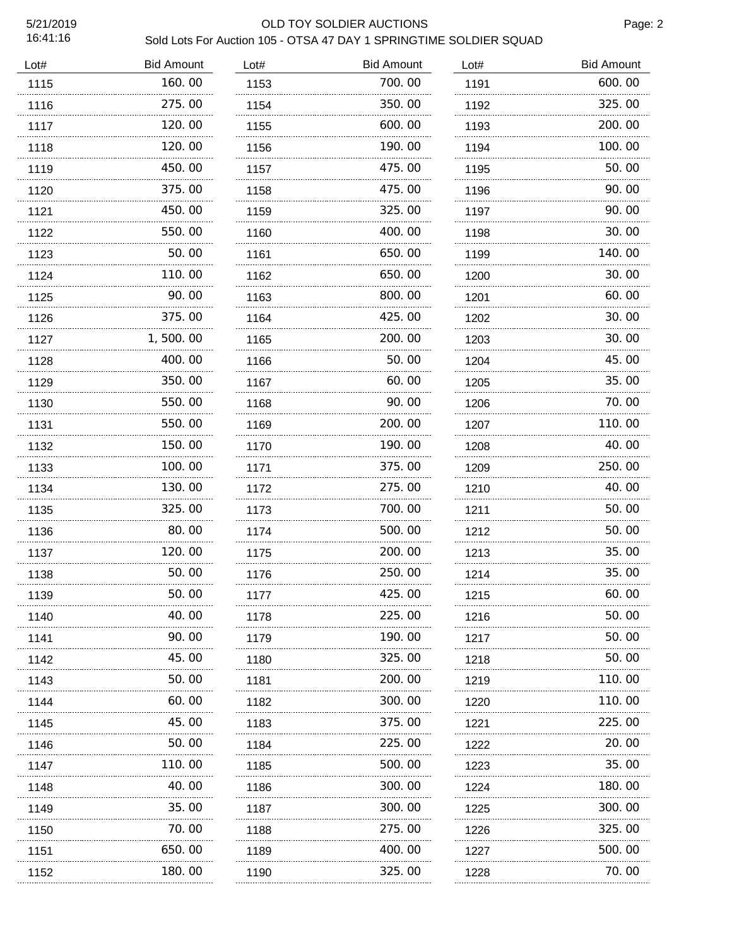#### 5/21/2019 OLD TOY SOLDIER AUCTIONS

Page: 2

| Lot# | <b>Bid Amount</b> | Lot# | <b>Bid Amount</b> | Lot# | <b>Bid Amount</b> |
|------|-------------------|------|-------------------|------|-------------------|
| 1115 | 160.00            | 1153 | 700.00            | 1191 | 600.00            |
| 1116 | 275.00            | 1154 | 350.00            | 1192 | 325.00            |
| 1117 | 120.00            | 1155 | 600.00            | 1193 | 200.00            |
| 1118 | 120.00            | 1156 | 190.00            | 1194 | 100.00            |
| 1119 | 450.00            | 1157 | 475.00            | 1195 | 50.00             |
| 1120 | 375.00            | 1158 | 475.00            | 1196 | 90.00             |
| 1121 | 450.00            | 1159 | 325.00            | 1197 | 90.00             |
| 1122 | 550.00            | 1160 | 400.00            | 1198 | 30.00             |
| 1123 | 50.00             | 1161 | 650.00            | 1199 | 140.00            |
| 1124 | 110.00<br>.       | 1162 | 650.00            | 1200 | 30.00             |
| 1125 | 90.00             | 1163 | 800.00            | 1201 | 60.00             |
| 1126 | 375.00<br>.       | 1164 | 425.00<br>.       | 1202 | 30.00             |
| 1127 | 1,500.00          | 1165 | 200.00            | 1203 | 30.00             |
| 1128 | 400.00<br>.       | 1166 | 50.00             | 1204 | 45.00             |
| 1129 | 350.00            | 1167 | 60.00             | 1205 | 35.00             |
| 1130 | 550.00            | 1168 | 90.00             | 1206 | 70.00             |
| 1131 | 550,00            | 1169 | 200.00            | 1207 | 110.00            |
| 1132 | 150.00            | 1170 | 190.00            | 1208 | 40.00             |
| 1133 | 100.00            | 1171 | 375.00            | 1209 | 250.00            |
| 1134 | 130.00<br>$\sim$  | 1172 | 275.00<br>.       | 1210 | 40.00             |
| 1135 | 325.00            | 1173 | 700.00            | 1211 | 50.00             |
| 1136 | 80.00             | 1174 | 500.00            | 1212 | 50.00             |
| 1137 | 120.00            | 1175 | 200.00            | 1213 | 35.00             |
| 1138 | 50.00             | 1176 | 250.00            | 1214 | 35.00             |
| 1139 | 50.00             | 1177 | 425.00            | 1215 | 60.00             |
| 1140 | 40.00             | 1178 | 225.00            | 1216 | 50.00             |
| 1141 | 90. 00            | 1179 | 190.00            | 1217 | 50.00             |
| 1142 | 45.00             | 1180 | 325,00            | 1218 | 50.00             |
| 1143 | 50.00             | 1181 | 200.00            | 1219 | 110.00            |
| 1144 | 60.00             | 1182 | 300.00            | 1220 | 110.00            |
| 1145 | 45.00             | 1183 | 375.00            | 1221 | 225.00            |
| 1146 | 50.00             | 1184 | 225.00            | 1222 | 20.00             |
| 1147 | 110.00            | 1185 | 500.00            | 1223 | 35.00             |
| 1148 | 40.00             | 1186 | 300.00            | 1224 | 180.00            |
| 1149 | 35.00             | 1187 | 300.00            | 1225 | 300. 00           |
| 1150 | 70.00             | 1188 | 275.00            | 1226 | 325.00            |
| 1151 | 650.00            | 1189 | 400.00            | 1227 | 500. 00           |
| 1152 | 180.00            | 1190 | 325.00            | 1228 | 70.00             |
|      |                   |      |                   |      |                   |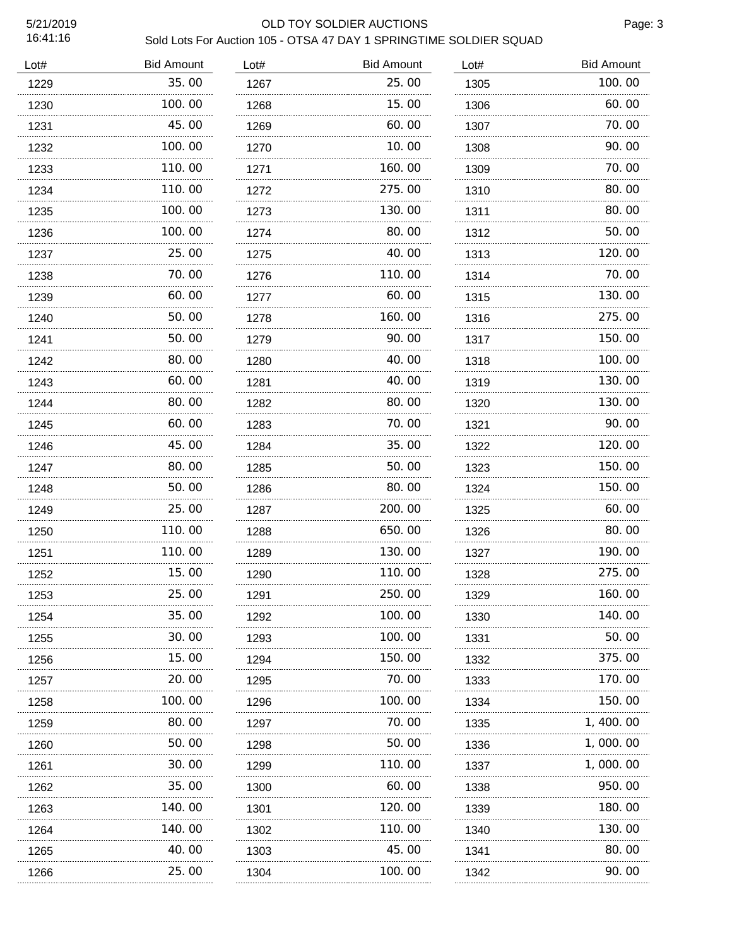#### 5/21/2019 OLD TOY SOLDIER AUCTIONS

| Lot# | <b>Bid Amount</b> | Lot# | <b>Bid Amount</b> | Lot# | <b>Bid Amount</b> |
|------|-------------------|------|-------------------|------|-------------------|
| 1229 | 35.00             | 1267 | 25.00             | 1305 | 100.00            |
| 1230 | 100.00            | 1268 | 15.00             | 1306 | 60.00             |
| 1231 | 45.00             | 1269 | 60.00             | 1307 | 70.00             |
| 1232 | 100.00            | 1270 | 10.00             | 1308 | 90.00             |
| 1233 | 110.00            | 1271 | 160.00            | 1309 | 70.00             |
| 1234 | 110.00            | 1272 | 275.00            | 1310 | 80.00             |
| 1235 | 100.00            | 1273 | 130.00            | 1311 | 80.00             |
| 1236 | 100.00            | 1274 | 80.00             | 1312 | 50.00             |
| 1237 | 25.00             | 1275 | 40.00             | 1313 | 120.00            |
| 1238 | 70.00             | 1276 | 110.00            | 1314 | 70.00             |
| 1239 | 60.00             | 1277 | 60.00             | 1315 | 130.00            |
| 1240 | 50.00             | 1278 | 160.00            | 1316 | 275.00            |
| 1241 | 50.00             | 1279 | 90.00             | 1317 | 150.00            |
| 1242 | 80.00             | 1280 | 40.00             | 1318 | 100.00            |
| 1243 | 60.00             | 1281 | 40.00             | 1319 | 130.00            |
| 1244 | 80.00             | 1282 | 80.00             | 1320 | 130.00            |
| 1245 | 60.00             | 1283 | 70.00             | 1321 | 90.00             |
| 1246 | 45.00             | 1284 | 35.00             | 1322 | 120.00            |
| 1247 | 80.00             | 1285 | 50. 00            | 1323 | 150.00            |
| 1248 | 50.00             | 1286 | 80.00             | 1324 | 150.00            |
| 1249 | 25.00             | 1287 | 200.00            | 1325 | 60.00             |
| 1250 | 110.00            | 1288 | 650.00            | 1326 | 80.00             |
| 1251 | 110.00            | 1289 | 130.00            | 1327 | 190.00            |
| 1252 | 15.00             | 1290 | 110.00            | 1328 | 275.00            |
| 1253 | 25.00<br>.        | 1291 | 250.00            | 1329 | 160. 00           |
| 1254 | 35.00             | 1292 | 100.00            | 1330 | 140.00            |
| 1255 | 30.00<br>.        | 1293 | 100.00            | 1331 | 50.00             |
| 1256 | 15.00             | 1294 | 150.00            | 1332 | 375.00            |
| 1257 | 20.00<br>.        | 1295 | 70. 00            | 1333 | 170. 00           |
| 1258 | 100.00            | 1296 | 100.00            | 1334 | 150.00            |
| 1259 | 80.00             | 1297 | 70. 00            | 1335 | 1, 400. 00        |
| 1260 | 50. 00            | 1298 | 50.00             | 1336 | 1,000.00          |
| 1261 | 30.00             | 1299 | 110.00            | 1337 | 1,000.00          |
| 1262 | 35.00             | 1300 | 60.00             | 1338 | 950.00            |
| 1263 | 140. 00           | 1301 | 120.00            | 1339 | 180.00            |
| 1264 | 140. 00           | 1302 | 110.00            | 1340 | 130. 00           |
| 1265 | 40.00             | 1303 | 45.00             | 1341 | 80.00             |
| 1266 | 25.00             | 1304 | 100.00            | 1342 | 90.00             |
|      |                   |      |                   |      |                   |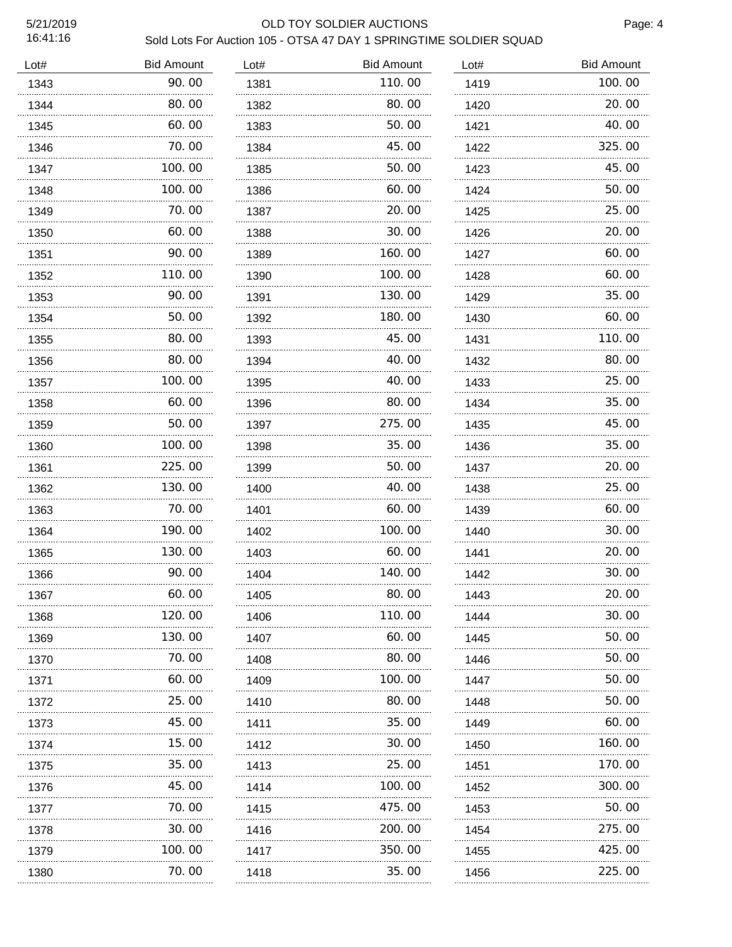### 5/21/2019 OLD TOY SOLDIER AUCTIONS

Page: 4

| Lot# | <b>Bid Amount</b> | Lot# | <b>Bid Amount</b> | Lot# | <b>Bid Amount</b> |
|------|-------------------|------|-------------------|------|-------------------|
| 1343 | 90.00             | 1381 | 110.00            | 1419 | 100.00            |
| 1344 | 80.00             | 1382 | 80.00             | 1420 | 20.00             |
| 1345 | 60.00             | 1383 | 50.00             | 1421 | 40.00             |
| 1346 | 70.00             | 1384 | 45.00             | 1422 | 325.00            |
| 1347 | 100. 00           | 1385 | 50.00             | 1423 | 45.00             |
| 1348 | 100,00            | 1386 | 60.00             | 1424 | 50.00             |
| 1349 | 70.00             | 1387 | 20.00             | 1425 | 25.00             |
| 1350 | 60.00             | 1388 | 30.00             | 1426 | 20.00             |
| 1351 | 90.00             | 1389 | 160.00            | 1427 | 60.00             |
| 1352 | 110.00            | 1390 | 100.00            | 1428 | 60.00             |
| 1353 | 90.00             | 1391 | 130.00            | 1429 | 35.00             |
| 1354 | 50.00<br>.        | 1392 | 180.00            | 1430 | 60.00             |
| 1355 | 80.00             | 1393 | 45.00             | 1431 | 110.00            |
| 1356 | 80.00             | 1394 | 40.00             | 1432 | 80.00             |
| 1357 | 100.00            | 1395 | 40.00             | 1433 | 25.00             |
| 1358 | 60.00<br>.        | 1396 | 80.00             | 1434 | 35.00             |
| 1359 | 50.00             | 1397 | 275.00            | 1435 | 45.00             |
| 1360 | 100.00<br>.       | 1398 | 35.00             | 1436 | 35.00             |
| 1361 | 225,00<br>.       | 1399 | 50.00             | 1437 | 20.00             |
| 1362 | 130.00<br>.       | 1400 | 40.00             | 1438 | 25.00             |
| 1363 | 70.00             | 1401 | 60.00             | 1439 | 60.00             |
| 1364 | 190.00            | 1402 | 100.00            | 1440 | 30.00             |
| 1365 | 130.00            | 1403 | 60.00             | 1441 | 20.00             |
| 1366 | 90.00             | 1404 | 140.00            | 1442 | 30.00             |
| 1367 | 60.00             | 1405 | 80.00             | 1443 | 20.00             |
| 1368 | 120.00            | 1406 | 110.00            | 1444 | 30.00             |
| 1369 | 130.00            | 1407 | 60.00             | 1445 | 50.00             |
| 1370 | 70.00             | 1408 | 80.00             | 1446 | 50.00             |
| 1371 | 60.00             | 1409 | 100.00            | 1447 | 50.00             |
| 1372 | 25.00             | 1410 | 80.00             | 1448 | 50.00             |
| 1373 | 45.00             | 1411 | 35.00             | 1449 | 60.00             |
| 1374 | 15.00             | 1412 | 30.00             | 1450 | 160.00            |
| 1375 | 35.00             | 1413 | 25.00             | 1451 | 170.00            |
| 1376 | 45.00             | 1414 | 100. 00           | 1452 | 300.00            |
| 1377 | 70.00             | 1415 | 475.00            | 1453 | 50.00             |
| 1378 | 30.00             | 1416 | 200.00            | 1454 | 275.00            |
| 1379 | 100.00            | 1417 | 350.00            | 1455 | 425.00            |
| 1380 | 70.00             | 1418 | 35.00             | 1456 | 225.00            |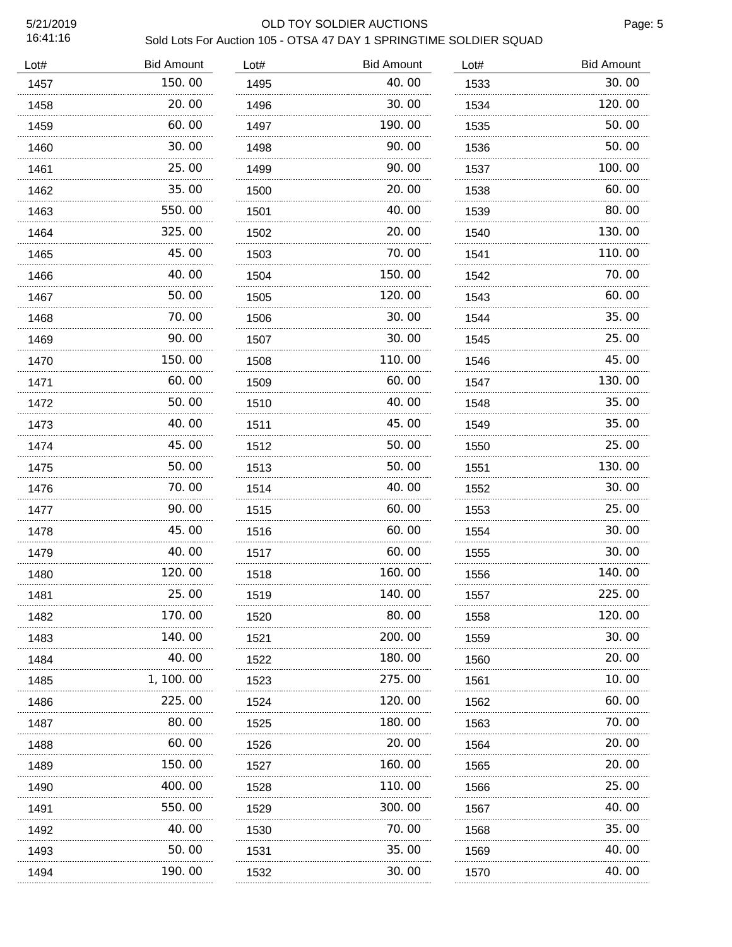#### 5/21/2019 OLD TOY SOLDIER AUCTIONS

Page: 5

| Lot# | <b>Bid Amount</b> | Lot# | <b>Bid Amount</b> | Lot# | <b>Bid Amount</b> |
|------|-------------------|------|-------------------|------|-------------------|
| 1457 | 150.00            | 1495 | 40.00             | 1533 | 30.00             |
| 1458 | 20.00             | 1496 | 30.00             | 1534 | 120.00            |
| 1459 | 60.00             | 1497 | 190.00            | 1535 | 50.00             |
| 1460 | 30.00             | 1498 | 90.00             | 1536 | 50.00             |
| 1461 | 25.00             | 1499 | 90.00             | 1537 | 100.00            |
| 1462 | 35.00             | 1500 | 20.00             | 1538 | 60.00             |
| 1463 | 550.00            | 1501 | 40.00             | 1539 | 80.00             |
| 1464 | 325.00            | 1502 | 20.00             | 1540 | 130.00            |
| 1465 | 45.00             | 1503 | 70.00             | 1541 | 110.00            |
| 1466 | 40.00             | 1504 | 150.00            | 1542 | 70.00             |
| 1467 | 50.00             | 1505 | 120.00            | 1543 | 60.00             |
| 1468 | 70.00             | 1506 | 30.00             | 1544 | 35,00             |
| 1469 | 90. 00            | 1507 | 30.00             | 1545 | 25.00             |
| 1470 | 150.00            | 1508 | 110.00            | 1546 | 45.00             |
| 1471 | 60. 00            | 1509 | 60.00             | 1547 | 130.00            |
| 1472 | 50.00             | 1510 | 40.00             | 1548 | 35.00             |
| 1473 | 40.00             | 1511 | 45.00             | 1549 | 35.00             |
| 1474 | 45.00             | 1512 | 50.00             | 1550 | 25.00             |
| 1475 | 50.00             | 1513 | 50.00             | 1551 | 130.00            |
| 1476 | 70.00<br>.        | 1514 | 40.00             | 1552 | 30.00             |
| 1477 | 90.00             | 1515 | 60.00             | 1553 | 25.00             |
| 1478 | 45.00<br>.        | 1516 | 60.00             | 1554 | 30.00             |
| 1479 | 40.00             | 1517 | 60.00             | 1555 | 30.00             |
| 1480 | 120.00            | 1518 | 160.00            | 1556 | 140.00            |
| 1481 | 25.00             | 1519 | 140.00            | 1557 | 225.00            |
| 1482 | 170.00            | 1520 | 80.00             | 1558 | 120.00            |
| 1483 | 140. 00           | 1521 | 200.00            | 1559 | 30.00             |
| 1484 | 40.00             | 1522 | 180.00            | 1560 | 20.00             |
| 1485 | 1, 100. 00        | 1523 | 275.00            | 1561 | 10.00             |
| 1486 | 225,00            | 1524 | 120.00            | 1562 | 60.00             |
| 1487 | 80.00             | 1525 | 180.00            | 1563 | 70.00             |
| 1488 | 60.00             | 1526 | 20.00             | 1564 | 20.00             |
| 1489 | 150. 00           | 1527 | 160. 00           | 1565 | 20.00             |
| 1490 | 400.00            | 1528 | 110.00            | 1566 | 25.00             |
| 1491 | 550.00            | 1529 | 300.00            | 1567 | 40.00             |
| 1492 | 40.00             | 1530 | 70.00             | 1568 | 35.00             |
| 1493 | 50.00             | 1531 | 35.00             | 1569 | 40.00             |
| 1494 | 190.00            | 1532 | 30.00             | 1570 | 40.00             |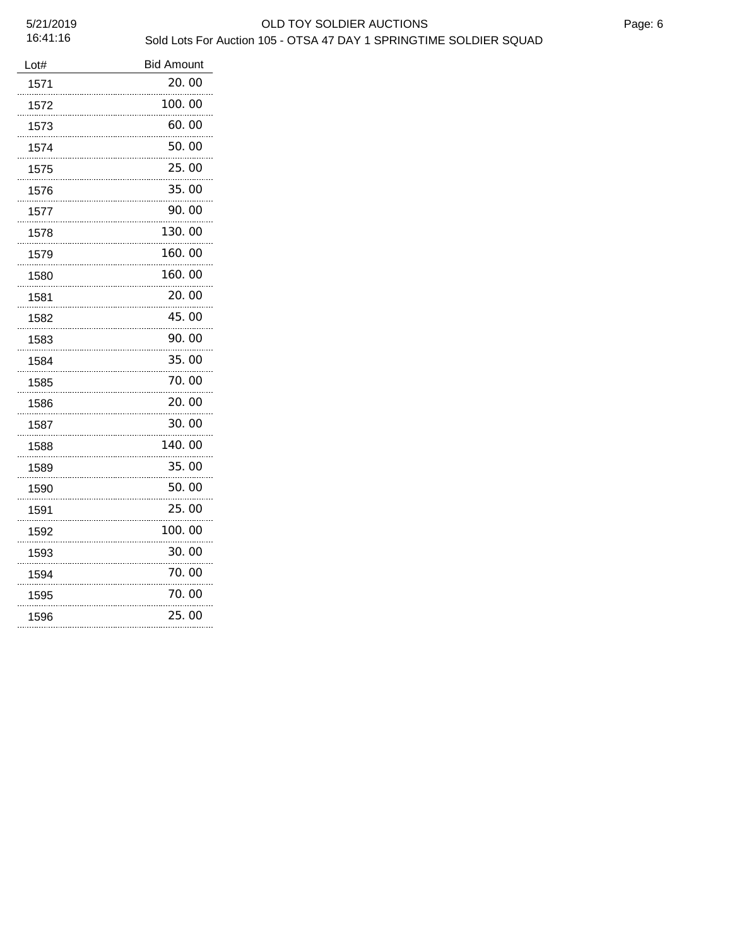| Lot# | <b>Bid Amount</b> |
|------|-------------------|
| 1571 | 20. 00            |
| 1572 | 100.00            |
| 1573 | 60.00             |
| 1574 | 50.00             |
| 1575 | 25.00             |
| 1576 | 35.00             |
| 1577 | 90.00             |
| 1578 | 130.00            |
| 1579 | 160.00            |
| 1580 | 160.00            |
| 1581 | 20.00             |
| 1582 | 45.00             |
| 1583 | 90.00             |
| 1584 | 35.00             |
| 1585 | 70. 00            |
| 1586 | 20.00             |
| 1587 | 30.00             |
| 1588 | 140.00            |
| 1589 | 35.00             |
| 1590 | 50. 00            |
| 1591 | 25.00             |
| 1592 | 100.00            |
| 1593 | 30. 00            |
| 1594 | 70.00             |
| 1595 | 70.00             |
| 1596 | 25.00             |
|      |                   |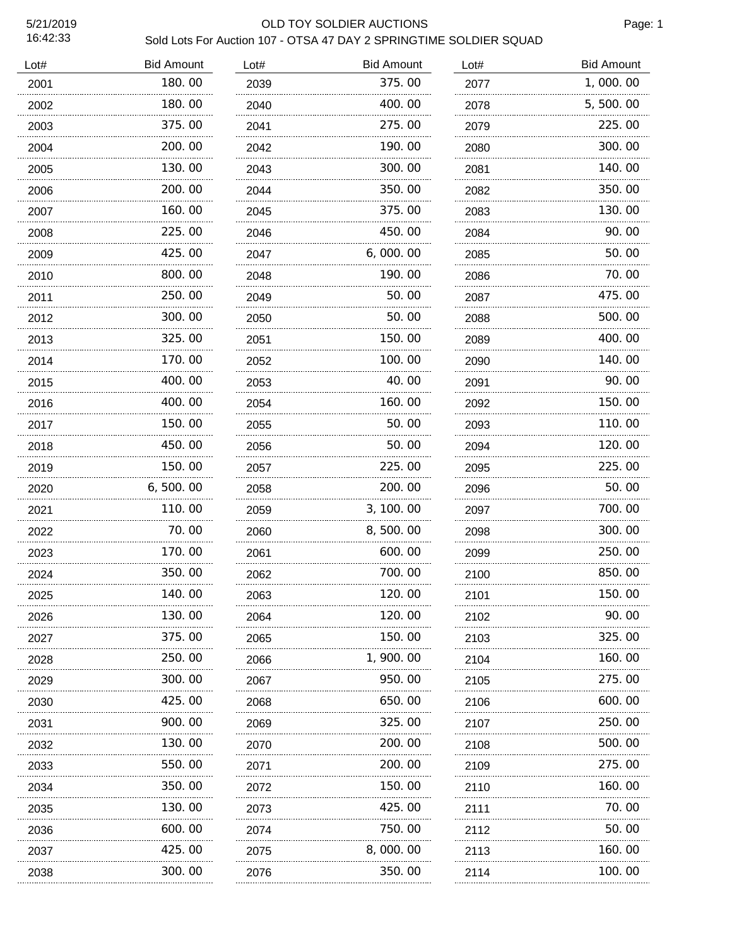### 5/21/2019 OLD TOY SOLDIER AUCTIONS

Page: 1

| <b>Bid Amount</b> | Lot# | <b>Bid Amount</b> | Lot# | <b>Bid Amount</b> |
|-------------------|------|-------------------|------|-------------------|
| 180.00            | 2039 | 375.00            | 2077 | 1,000.00          |
| 180.00            | 2040 | 400.00            | 2078 | 5,500.00          |
| 375.00            | 2041 | 275.00            | 2079 | 225.00            |
| 200.00            | 2042 | 190.00            | 2080 | 300.00            |
| 130.00            | 2043 | 300.00            | 2081 | 140.00            |
| 200.00            | 2044 | 350.00            | 2082 | 350.00            |
| 160.00            | 2045 | 375.00            | 2083 | 130.00            |
| 225.00            | 2046 | 450.00            | 2084 | 90.00             |
| 425.00            | 2047 | 6,000.00          | 2085 | 50.00             |
| 800.00            | 2048 | 190.00            | 2086 | 70.00             |
| 250.00            | 2049 | 50.00             | 2087 | 475.00            |
| 300.00            | 2050 | 50.00             | 2088 | 500.00            |
| 325.00            | 2051 | 150.00            | 2089 | 400.00            |
| 170.00            | 2052 | 100.00            | 2090 | 140.00            |
| 400.00            | 2053 | 40.00             | 2091 | 90.00             |
| 400.00            | 2054 | 160. 00           | 2092 | 150.00            |
| 150.00            | 2055 | 50.00             | 2093 | 110.00            |
| 450.00            | 2056 | 50.00             | 2094 | 120.00            |
| 150.00            | 2057 | 225.00            | 2095 | 225.00            |
| 6, 500.00         | 2058 | 200.00            | 2096 | 50.00             |
| 110.00            | 2059 | 3, 100.00         | 2097 | 700.00            |
| 70.00             | 2060 | 8,500.00          | 2098 | 300.00            |
| 170.00            | 2061 | 600.00            | 2099 | 250.00            |
| 350.00            | 2062 | 700.00            | 2100 | 850.00            |
| 140.00            | 2063 | 120.00            | 2101 | 150.00            |
| 130.00            | 2064 | 120.00            | 2102 | 90.00             |
| 375.00            | 2065 | 150.00            | 2103 | 325.00            |
| 250.00            | 2066 | 1, 900. 00        | 2104 | 160.00            |
| 300. 00           | 2067 | 950.00            | 2105 | 275.00            |
| 425.00            | 2068 | 650.00            | 2106 | 600.00            |
| 900. 00           | 2069 | 325.00            | 2107 | 250.00            |
| 130. 00           | 2070 | 200.00            | 2108 | 500.00            |
| 550.00            | 2071 | 200.00            | 2109 | 275.00            |
| 350.00            | 2072 | 150.00            | 2110 | 160.00            |
| 130. 00           | 2073 | 425.00            | 2111 | 70.00             |
| 600.00            | 2074 | 750.00            | 2112 | 50. 00            |
| 425.00            | 2075 | 8,000.00          | 2113 | 160.00            |
| 300.00            | 2076 | 350.00            | 2114 | 100.00            |
|                   | .    |                   |      |                   |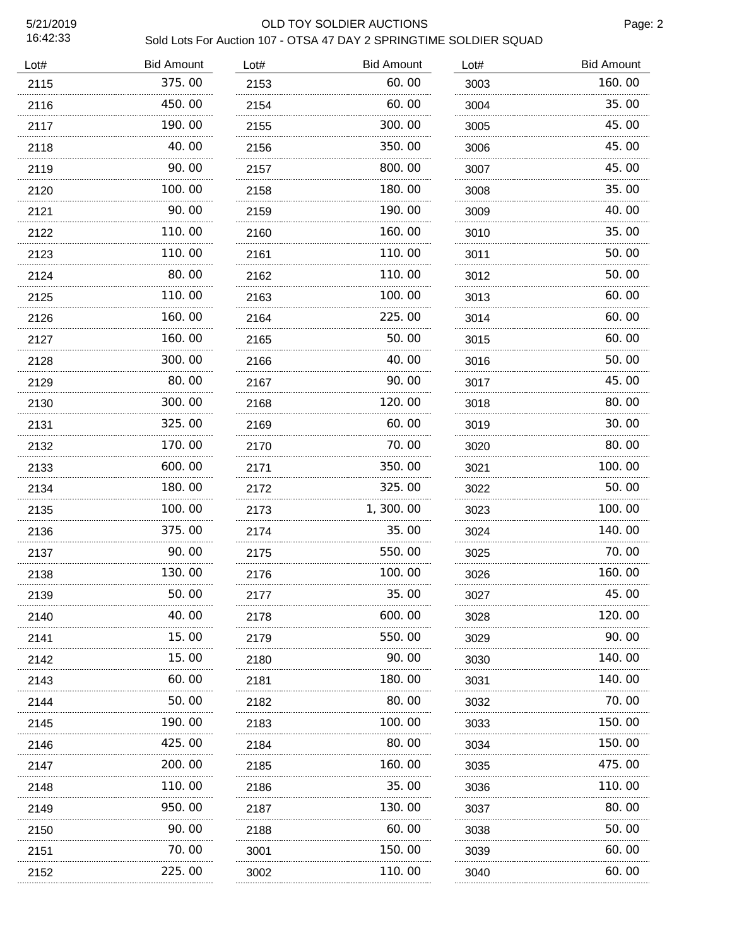### 5/21/2019 OLD TOY SOLDIER AUCTIONS

Page: 2

| Lot# | <b>Bid Amount</b> | Lot# | <b>Bid Amount</b> | Lot# | <b>Bid Amount</b> |
|------|-------------------|------|-------------------|------|-------------------|
| 2115 | 375.00            | 2153 | 60.00             | 3003 | 160.00            |
| 2116 | 450.00            | 2154 | 60.00             | 3004 | 35.00             |
| 2117 | 190.00            | 2155 | 300.00            | 3005 | 45.00             |
| 2118 | 40.00             | 2156 | 350.00            | 3006 | 45.00             |
| 2119 | 90.00             | 2157 | 800.00            | 3007 | 45.00             |
| 2120 | 100.00            | 2158 | 180.00            | 3008 | 35.00             |
| 2121 | 90.00             | 2159 | 190.00            | 3009 | 40.00             |
| 2122 | 110.00            | 2160 | 160.00            | 3010 | 35.00             |
| 2123 | 110.00            | 2161 | 110.00            | 3011 | 50.00             |
| 2124 | 80.00             | 2162 | 110.00            | 3012 | 50.00             |
| 2125 | 110.00            | 2163 | 100.00            | 3013 | 60.00             |
| 2126 | 160.00            | 2164 | 225.00            | 3014 | 60.00             |
| 2127 | 160.00            | 2165 | 50.00             | 3015 | 60.00             |
| 2128 | 300.00            | 2166 | 40.00             | 3016 | 50.00             |
| 2129 | 80.00             | 2167 | 90.00             | 3017 | 45.00             |
| 2130 | 300.00            | 2168 | 120.00            | 3018 | 80.00             |
| 2131 | 325.00            | 2169 | 60.00             | 3019 | 30.00             |
| 2132 | 170.00            | 2170 | 70.00             | 3020 | 80.00             |
| 2133 | 600.00            | 2171 | 350.00            | 3021 | 100.00            |
| 2134 | 180.00            | 2172 | 325.00            | 3022 | 50.00             |
| 2135 | 100.00            | 2173 | 1,300.00          | 3023 | 100.00            |
| 2136 | 375.00<br>.       | 2174 | 35.00             | 3024 | 140.00            |
| 2137 | 90.00             | 2175 | 550.00            | 3025 | 70.00             |
| 2138 | 130.00<br>        | 2176 | 100.00            | 3026 | 160.00            |
| 2139 | 50.00             | 2177 | 35.00             | 3027 | 45.00             |
| 2140 | 40.00             | 2178 | 600.00            | 3028 | 120. 00           |
| 2141 | 15. 00            | 2179 | 550.00            | 3029 | 90.00             |
| 2142 | 15. 00            | 2180 | 90.00             | 3030 | 140.00            |
| 2143 | 60.00             | 2181 | 180.00            | 3031 | 140.00            |
| 2144 | 50.00             | 2182 | 80.00             | 3032 | 70.00             |
| 2145 | 190. 00           | 2183 | 100.00            | 3033 | 150.00            |
| 2146 | 425.00            | 2184 | 80.00             | 3034 | 150.00            |
| 2147 | 200.00            | 2185 | 160.00            | 3035 | 475.00            |
| 2148 | 110.00            | 2186 | 35.00             | 3036 | 110.00            |
| 2149 | 950.00            | 2187 | 130.00            | 3037 | 80.00             |
| 2150 | 90.00             | 2188 | 60.00             | 3038 | 50.00             |
| 2151 | 70.00             | 3001 | 150.00            | 3039 | 60.00             |
| 2152 | 225.00            | 3002 | 110.00            | 3040 | 60.00             |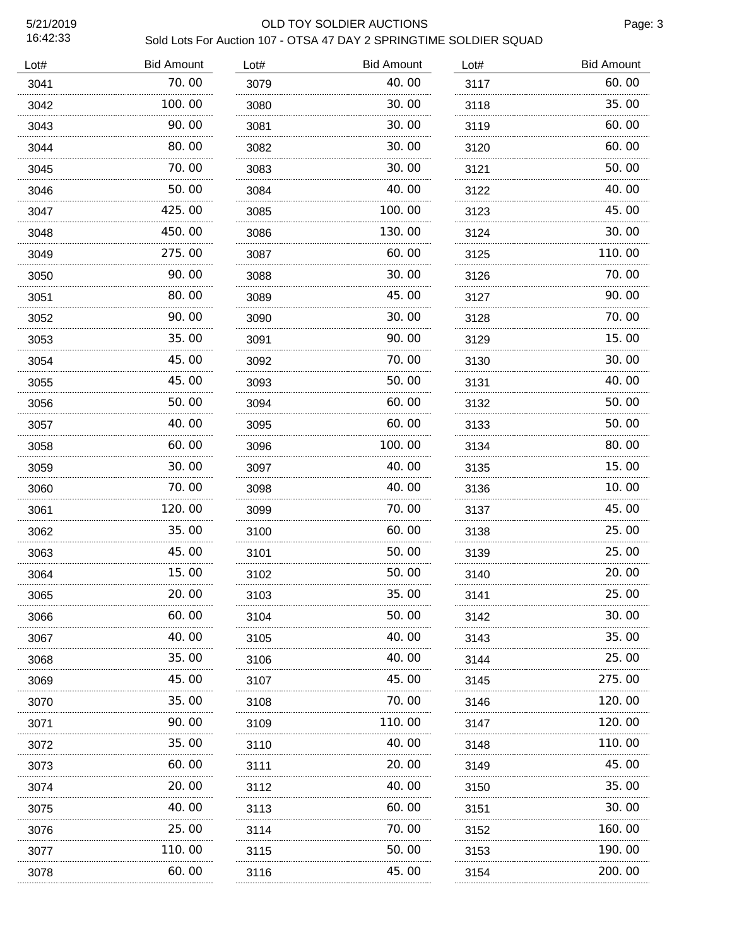### 5/21/2019 OLD TOY SOLDIER AUCTIONS

Page: 3

| Lot# | <b>Bid Amount</b> | Lot# | <b>Bid Amount</b> | Lot# | <b>Bid Amount</b> |
|------|-------------------|------|-------------------|------|-------------------|
| 3041 | 70.00             | 3079 | 40.00             | 3117 | 60.00             |
| 3042 | 100.00            | 3080 | 30.00             | 3118 | 35.00             |
| 3043 | 90.00             | 3081 | 30.00             | 3119 | 60.00             |
| 3044 | 80.00             | 3082 | 30.00             | 3120 | 60.00             |
| 3045 | 70.00             | 3083 | 30.00             | 3121 | 50.00             |
| 3046 | 50.00             | 3084 | 40.00             | 3122 | 40.00             |
| 3047 | 425.00            | 3085 | 100.00            | 3123 | 45.00             |
| 3048 | 450.00            | 3086 | 130.00            | 3124 | 30.00             |
| 3049 | 275.00            | 3087 | 60.00             | 3125 | 110.00            |
| 3050 | 90.00             | 3088 | 30.00             | 3126 | 70.00             |
| 3051 | 80.00             | 3089 | 45.00             | 3127 | 90.00             |
| 3052 | 90.00             | 3090 | 30.00             | 3128 | 70.00             |
| 3053 | 35.00             | 3091 | 90.00             | 3129 | 15.00             |
| 3054 | 45.00             | 3092 | 70.00             | 3130 | 30.00             |
| 3055 | 45.00             | 3093 | 50.00             | 3131 | 40.00             |
| 3056 | 50.00             | 3094 | 60.00             | 3132 | 50.00             |
| 3057 | 40.00             | 3095 | 60.00             | 3133 | 50.00             |
| 3058 | 60.00             | 3096 | 100.00            | 3134 | 80.00             |
| 3059 | 30.00             | 3097 | 40. 00            | 3135 | 15.00             |
| 3060 | 70.00             | 3098 | 40.00             | 3136 | 10.00             |
| 3061 | 120.00            | 3099 | 70.00             | 3137 | 45.00             |
| 3062 | 35.00             | 3100 | 60.00             | 3138 | 25.00             |
| 3063 | 45.00             | 3101 | 50.00             | 3139 | 25.00             |
| 3064 | 15.00             | 3102 | 50.00             | 3140 | 20.00             |
| 3065 | 20.00             | 3103 | 35.00             | 3141 | 25.00             |
| 3066 | 60.00             | 3104 | 50.00             | 3142 | 30.00             |
| 3067 | 40.00             | 3105 | 40.00             | 3143 | 35.00             |
| 3068 | 35.00             | 3106 | 40.00             | 3144 | 25.00             |
| 3069 | 45.00<br>.        | 3107 | 45.00             | 3145 | 275.00            |
| 3070 | 35.00             | 3108 | 70.00             | 3146 | 120.00            |
| 3071 | 90.00             | 3109 | 110.00            | 3147 | 120.00            |
| 3072 | 35.00             | 3110 | 40.00             | 3148 | 110.00            |
| 3073 | 60.00             | 3111 | 20.00             | 3149 | 45.00             |
| 3074 | 20.00             | 3112 | 40.00             | 3150 | 35.00             |
| 3075 | 40.00             | 3113 | 60.00             | 3151 | 30.00             |
| 3076 | 25.00             | 3114 | 70.00             | 3152 | 160.00            |
| 3077 | 110.00            | 3115 | 50.00             | 3153 | 190.00            |
| 3078 | 60.00             | 3116 | 45.00             | 3154 | 200.00            |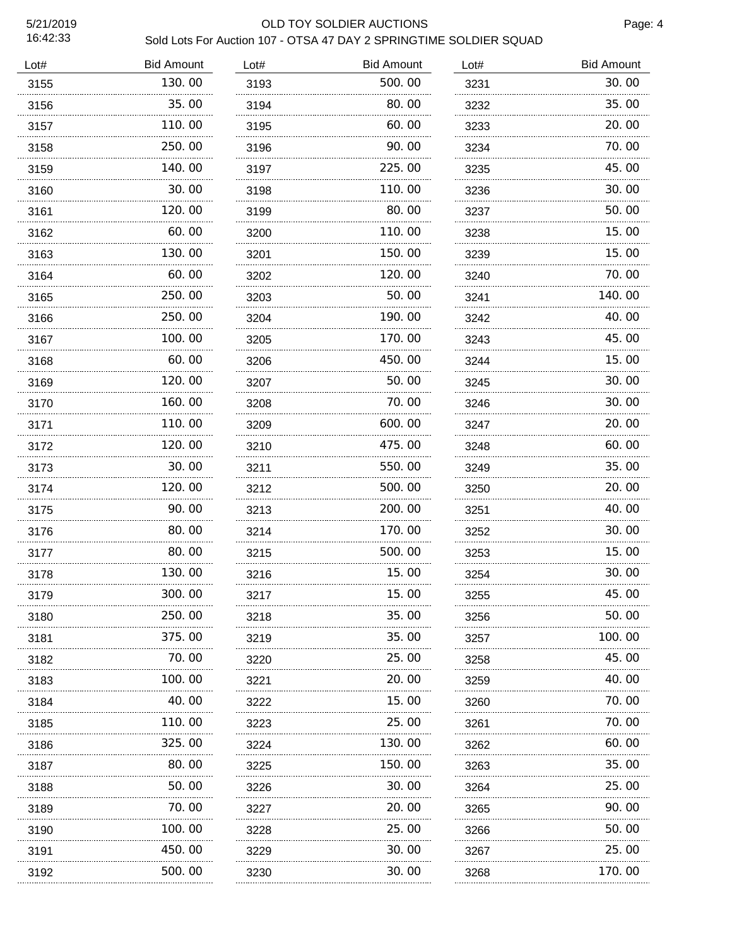#### 5/21/2019 OLD TOY SOLDIER AUCTIONS

Page: 4

| Lot# | <b>Bid Amount</b> | Lot# | <b>Bid Amount</b> | Lot# | <b>Bid Amount</b> |
|------|-------------------|------|-------------------|------|-------------------|
| 3155 | 130.00            | 3193 | 500.00            | 3231 | 30.00             |
| 3156 | 35.00             | 3194 | 80.00             | 3232 | 35.00             |
| 3157 | 110.00            | 3195 | 60.00             | 3233 | 20.00             |
| 3158 | 250.00            | 3196 | 90.00             | 3234 | 70.00             |
| 3159 | 140.00            | 3197 | 225.00            | 3235 | 45.00             |
| 3160 | 30.00             | 3198 | 110.00            | 3236 | 30.00             |
| 3161 | 120.00            | 3199 | 80.00             | 3237 | 50.00             |
| 3162 | 60.00             | 3200 | 110.00            | 3238 | 15.00             |
| 3163 | 130.00            | 3201 | 150.00            | 3239 | 15.00             |
| 3164 | 60.00             | 3202 | 120.00            | 3240 | 70.00             |
| 3165 | 250.00            | 3203 | 50.00             | 3241 | 140.00            |
| 3166 | 250.00            | 3204 | 190.00            | 3242 | 40.00             |
| 3167 | 100.00            | 3205 | 170.00            | 3243 | 45.00             |
| 3168 | 60.00             | 3206 | 450.00            | 3244 | 15.00             |
| 3169 | 120.00            | 3207 | 50.00             | 3245 | 30.00             |
| 3170 | 160.00            | 3208 | 70.00             | 3246 | 30.00             |
| 3171 | 110.00            | 3209 | 600.00            | 3247 | 20.00             |
| 3172 | 120.00            | 3210 | 475.00            | 3248 | 60.00             |
| 3173 | 30.00             | 3211 | 550.00            | 3249 | 35.00             |
| 3174 | 120.00<br>.       | 3212 | 500.00            | 3250 | 20.00             |
| 3175 | 90.00             | 3213 | 200.00            | 3251 | 40.00             |
| 3176 | 80.00<br>.        | 3214 | 170.00            | 3252 | 30.00             |
| 3177 | 80.00             | 3215 | 500.00            | 3253 | 15.00             |
| 3178 | 130.00            | 3216 | 15.00             | 3254 | 30.00             |
| 3179 | 300.00            | 3217 | 15.00             | 3255 | 45.00             |
| 3180 | 250.00            | 3218 | 35.00             | 3256 | 50.00             |
| 3181 | 375.00            | 3219 | 35.00             | 3257 | 100.00            |
| 3182 | 70.00             | 3220 | 25.00             | 3258 | 45.00             |
| 3183 | 100. 00           | 3221 | 20. 00            | 3259 | 40.00             |
| 3184 | 40.00             | 3222 | 15.00             | 3260 | 70.00             |
| 3185 | 110.00            | 3223 | 25.00             | 3261 | 70.00             |
| 3186 | 325.00            | 3224 | 130. 00           | 3262 | 60.00             |
| 3187 | 80.00             | 3225 | 150.00            | 3263 | 35.00             |
| 3188 | 50.00             | 3226 | 30.00             | 3264 | 25.00             |
| 3189 | 70.00             | 3227 | 20. 00            | 3265 | 90.00             |
| 3190 | 100.00            | 3228 | 25.00             | 3266 | 50.00             |
| 3191 | 450.00            | 3229 | 30.00             | 3267 | 25.00             |
| 3192 | 500.00            | 3230 | 30.00             | 3268 | 170.00            |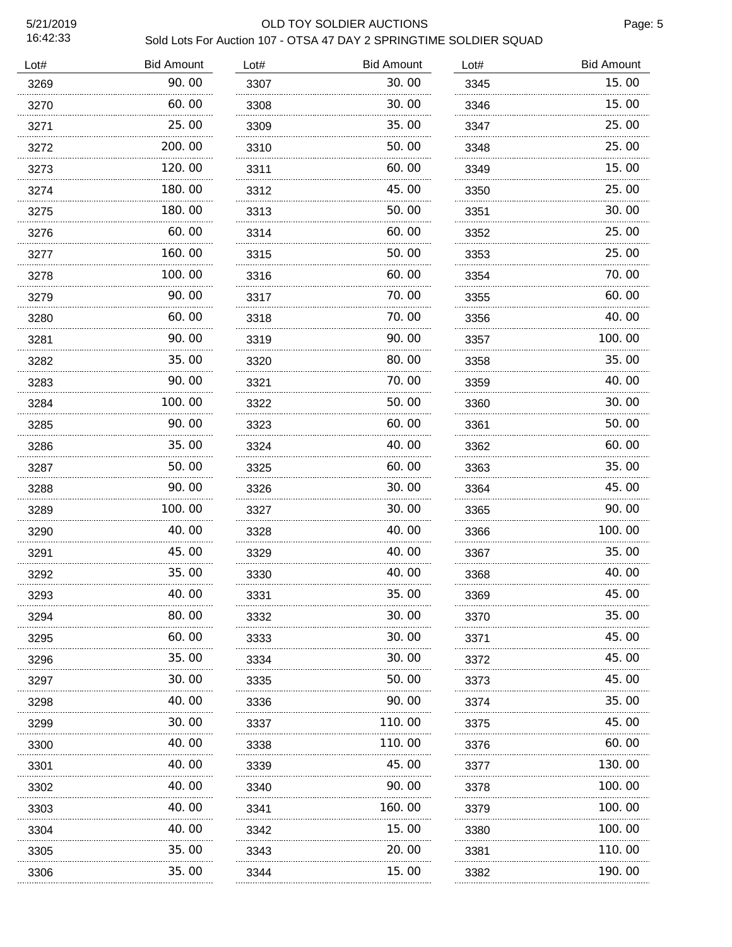### 5/21/2019 OLD TOY SOLDIER AUCTIONS

| Lot# | <b>Bid Amount</b> | Lot# | <b>Bid Amount</b> | Lot# | <b>Bid Amount</b> |
|------|-------------------|------|-------------------|------|-------------------|
| 3269 | 90.00             | 3307 | 30.00             | 3345 | 15.00             |
| 3270 | 60.00             | 3308 | 30.00             | 3346 | 15.00             |
| 3271 | 25.00             | 3309 | 35.00             | 3347 | 25.00             |
| 3272 | 200.00            | 3310 | 50.00             | 3348 | 25.00             |
| 3273 | 120.00            | 3311 | 60.00             | 3349 | 15.00             |
| 3274 | 180.00            | 3312 | 45.00             | 3350 | 25.00             |
| 3275 | 180.00            | 3313 | 50.00             | 3351 | 30.00             |
| 3276 | 60.00             | 3314 | 60.00             | 3352 | 25.00             |
| 3277 | 160.00            | 3315 | 50.00             | 3353 | 25.00             |
| 3278 | 100.00            | 3316 | 60.00             | 3354 | 70.00             |
| 3279 | 90.00             | 3317 | 70.00             | 3355 | 60.00             |
| 3280 | 60.00             | 3318 | 70.00             | 3356 | 40.00             |
| 3281 | 90. 00            | 3319 | 90.00             | 3357 | 100.00            |
| 3282 | 35.00             | 3320 | 80.00             | 3358 | 35.00             |
| 3283 | 90. 00            | 3321 | 70.00             | 3359 | 40.00             |
| 3284 | 100.00            | 3322 | 50.00             | 3360 | 30.00             |
| 3285 | 90.00             | 3323 | 60.00             | 3361 | 50.00             |
| 3286 | 35.00             | 3324 | 40.00             | 3362 | 60.00             |
| 3287 | 50.00             | 3325 | 60.00             | 3363 | 35.00             |
| 3288 | 90.00             | 3326 | 30.00             | 3364 | 45.00             |
| 3289 | 100.00            | 3327 | 30.00             | 3365 | 90.00             |
| 3290 | 40.00<br>.        | 3328 | 40.00             | 3366 | 100.00            |
| 3291 | 45.00             | 3329 | 40.00             | 3367 | 35.00             |
| 3292 | 35.00             | 3330 | 40.00             | 3368 | 40.00             |
| 3293 | 40.00             | 3331 | 35.00             | 3369 | 45.00             |
| 3294 | 80.00             | 3332 | 30.00             | 3370 | 35.00             |
| 3295 | 60.00             | 3333 | 30.00             | 3371 | 45.00             |
| 3296 | 35.00             | 3334 | 30.00             | 3372 | 45.00             |
| 3297 | 30.00             | 3335 | 50.00             | 3373 | 45.00             |
| 3298 | 40.00             | 3336 | 90.00             | 3374 | 35.00             |
| 3299 | 30.00             | 3337 | 110.00            | 3375 | 45.00             |
| 3300 | 40.00             | 3338 | 110.00            | 3376 | 60.00             |
| 3301 | 40.00             | 3339 | 45.00             | 3377 | 130.00            |
| 3302 | 40.00             | 3340 | 90.00             | 3378 | 100.00            |
| 3303 | 40.00             | 3341 | 160.00            | 3379 | 100.00            |
| 3304 | 40.00             | 3342 | 15.00             | 3380 | 100.00            |
| 3305 | 35.00             | 3343 | 20.00             | 3381 | 110.00            |
| 3306 | 35.00             | 3344 | 15.00             | 3382 | 190.00            |
|      |                   |      |                   |      |                   |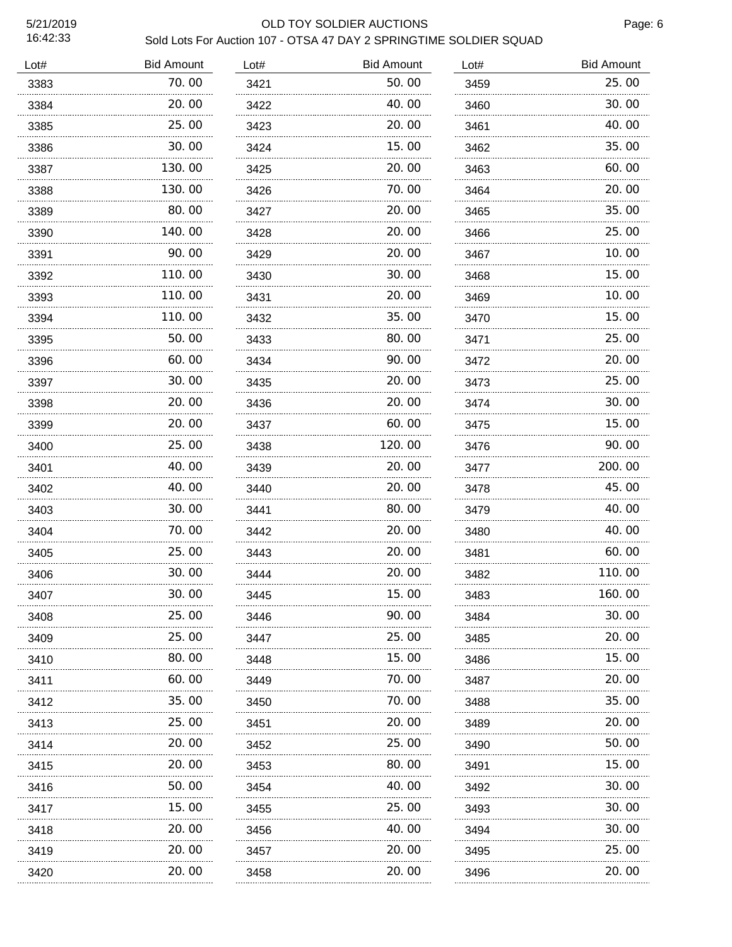### 5/21/2019 OLD TOY SOLDIER AUCTIONS

| <b>Bid Amount</b> | Lot#             | <b>Bid Amount</b> | Lot# | <b>Bid Amount</b> |
|-------------------|------------------|-------------------|------|-------------------|
| 70.00             | 3421             | 50.00             | 3459 | 25.00             |
| 20.00             | 3422             | 40.00             | 3460 | 30.00             |
| 25.00             | 3423             | 20. 00            | 3461 | 40.00             |
| 30.00             | 3424             | 15. 00            | 3462 | 35.00             |
| 130.00            | 3425             | 20.00             | 3463 | 60.00             |
| 130.00            | 3426             | 70.00             | 3464 | 20.00             |
| 80.00             | 3427             | 20.00             | 3465 | 35.00             |
| 140.00            | 3428             | 20.00             | 3466 | 25.00             |
| 90.00             | 3429             | 20.00             | 3467 | 10.00             |
| 110.00            | 3430             | 30.00             | 3468 | 15.00             |
| 110.00            | 3431             | 20. 00            | 3469 | 10.00             |
| 110.00            | 3432             | 35.00             | 3470 | 15.00             |
| 50.00             | 3433             | 80. 00            | 3471 | 25.00             |
| 60.00             | 3434             | 90.00             | 3472 | 20.00             |
| 30.00             | 3435             | 20.00             | 3473 | 25.00             |
| 20.00             | 3436             | 20.00             | 3474 | 30.00             |
| 20.00             | 3437             | 60.00             | 3475 | 15.00             |
| 25.00             | 3438             | 120.00            | 3476 | 90.00             |
| 40.00             | 3439             | 20.00             | 3477 | 200.00            |
| 40.00             | 3440             | 20.00             | 3478 | 45.00             |
| 30. OO            | 3441             | 80. 00            | 3479 | 40.00             |
| 70.00             | 3442             | 20.00             | 3480 | 40.00             |
| 25.00             | 3443             | 20. 00            | 3481 | 60.00             |
| 30.00             | 3444             | 20.00             | 3482 | 110.00            |
| 30.00             | 3445             | 15.00             | 3483 | 160.00            |
| 25.00             | 3446             | 90.00             | 3484 | 30.00             |
| 25.00             | 3447             | 25.00             | 3485 | 20.00             |
| 80.00             | 3448             | 15.00             | 3486 | 15.00             |
| 60.00             | 3449             | 70.00             | 3487 | 20.00             |
| 35.00             | 3450             | 70. 00            | 3488 | 35.00             |
| 25.00             | 3451             | 20. 00            | 3489 | 20.00             |
| 20.00             | 3452             | 25.00             | 3490 | 50.00             |
| 20.00             | 3453             | 80. 00            | 3491 | 15.00             |
| 50.00             | 3454             | 40. OO            | 3492 | 30.00             |
| 15.00             | 3455             | 25.00             | 3493 | 30.00             |
| 20.00             | 3456             | 40.00             | 3494 | 30.00             |
| 20.00             | 3457             | 20.00             | 3495 | 25.00             |
| 20.00             | 3458             | 20.00             | 3496 | 20.00             |
|                   | .<br>.<br>.<br>. |                   |      |                   |